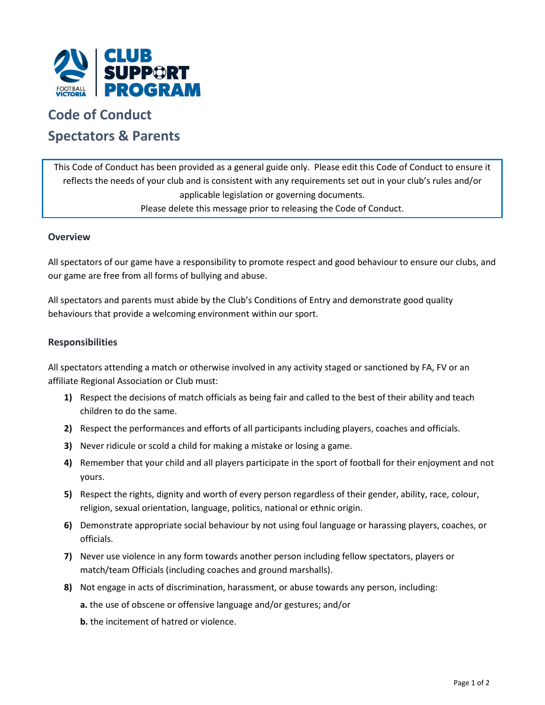

# **Code of Conduct Spectators & Parents**

This Code of Conduct has been provided as a general guide only. Please edit this Code of Conduct to ensure it reflects the needs of your club and is consistent with any requirements set out in your club's rules and/or applicable legislation or governing documents. Please delete this message prior to releasing the Code of Conduct.

# **Overview**

All spectators of our game have a responsibility to promote respect and good behaviour to ensure our clubs, and our game are free from all forms of bullying and abuse.

All spectators and parents must abide by the Club's Conditions of Entry and demonstrate good quality behaviours that provide a welcoming environment within our sport.

# **Responsibilities**

All spectators attending a match or otherwise involved in any activity staged or sanctioned by FA, FV or an affiliate Regional Association or Club must:

- **1)** Respect the decisions of match officials as being fair and called to the best of their ability and teach children to do the same.
- **2)** Respect the performances and efforts of all participants including players, coaches and officials.
- **3)** Never ridicule or scold a child for making a mistake or losing a game.
- **4)** Remember that your child and all players participate in the sport of football for their enjoyment and not yours.
- **5)** Respect the rights, dignity and worth of every person regardless of their gender, ability, race, colour, religion, sexual orientation, language, politics, national or ethnic origin.
- **6)** Demonstrate appropriate social behaviour by not using foul language or harassing players, coaches, or officials.
- **7)** Never use violence in any form towards another person including fellow spectators, players or match/team Officials (including coaches and ground marshalls).
- **8)** Not engage in acts of discrimination, harassment, or abuse towards any person, including:
	- **a.** the use of obscene or offensive language and/or gestures; and/or
	- **b.** the incitement of hatred or violence.